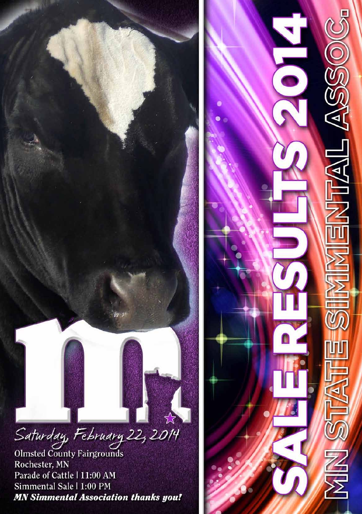# Saturday, February 22, 2014

Olmsted County Fairgrounds Rochester, MN Parade of Cattle | 11:00 AM Simmental Sale | 1:00 PM **MN Simmental Association thanks you!** 

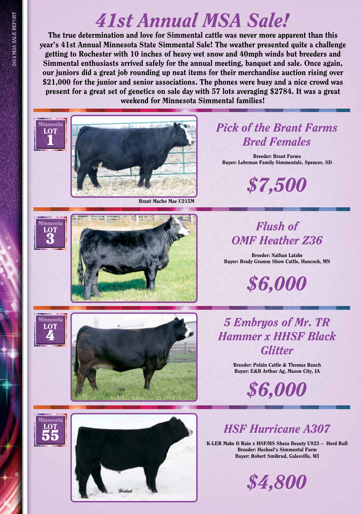## *41st Annual MSA Sale!*

The true determination and love for Simmental cattle was never more apparent than this year's 41st Annual Minnesota State Simmental Sale! The weather presented quite a challenge getting to Rochester with 10 inches of heavy wet snow and 40mph winds but breeders and Simmental enthusiasts arrived safely for the annual meeting, banquet and sale. Once again, our juniors did a great job rounding up neat items for their merchandise auction rising over \$21,000 for the junior and senior associations. The phones were busy and a nice crowd was present for a great set of genetics on sale day with 57 lots averaging \$2784. It was a great weekend for Minnesota Simmental families!



Breeder: Polzin Cattle & Thomas Ranch Buyer: E&B Arthur Ag, Mason City, IA

*\$6,000*

## *HSF Hurricane A307*

K-LER Make It Rain x HSF/HS Sheza Beauty U823 – Herd Bull Breeder: Hecksel's Simmental Farm Buyer: Robert Smikrud, Galesville, WI





LOT 3

LOT  $\ddot{\mathbf{1}}$ 

LOT 4

Minnesota LOT 55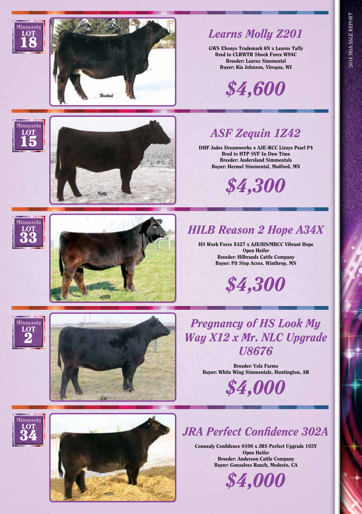

## *Learns Molly Z201*

GWS Ebonys Trademark 6N x Learns Taffy Bred to CLRWTR Shock Force W94C Breeder: Learns Simmental Buyer: Kia Johnson, Viroqua, WI

*\$4,600*

## *ASF Zequin 1Z42*

DHF Jades Dreamworks x AJE-RCC Lizzys Pearl P4 Bred to HTP SVF In Dew Time Breeder: Andersland Simmentals Buyer: Hermel Simmental, Medford, MN

*\$4,300*



Minnesota LOT 15

**LOT** 18



## *HILB Reason 2 Hope A34X*

HS Work Force X427 x AJE/HS/MBCC Vibrant Hope Open Heifer Breeder: Hilbrands Cattle Company Buyer: Pit Stop Acres, Winthrop, MN



Minnesota LOT



*Pregnancy of HS Look My Way X12 x Mr. NLC Upgrade U8676*

> Breeder: Volz Farms Buyer: White Wing Simmentals, Huntington, AR

> > *\$4,000*

#### Minnesota **LOT**  $\ddot{\mathbf{3}}\dot{\mathbf{4}}$



### *JRA Perfect Confidence 302A*

Connealy Confidence 0100 x JRS Perfect Upgrade 103Y Open Heifer Breeder: Anderson Cattle Company Buyer: Gonsalves Ranch, Modesto, CA